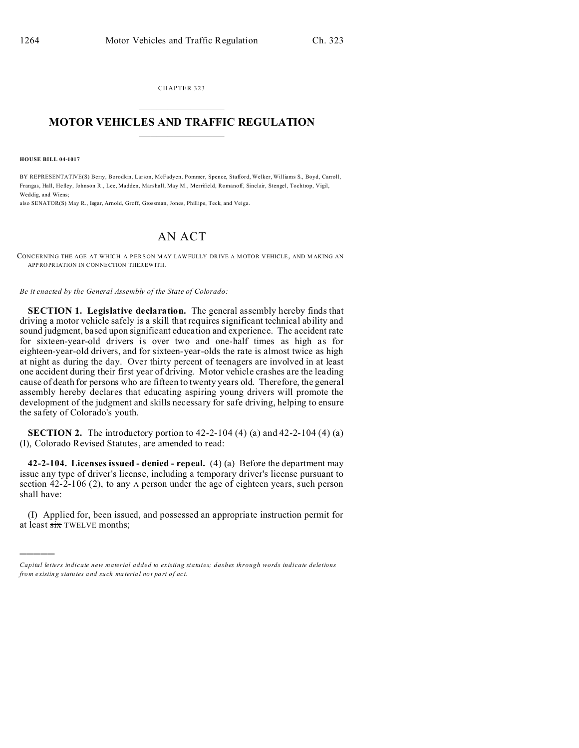CHAPTER 323  $\overline{\phantom{a}}$  , where  $\overline{\phantom{a}}$ 

## **MOTOR VEHICLES AND TRAFFIC REGULATION**  $\frac{1}{2}$  ,  $\frac{1}{2}$  ,  $\frac{1}{2}$  ,  $\frac{1}{2}$  ,  $\frac{1}{2}$  ,  $\frac{1}{2}$  ,  $\frac{1}{2}$

**HOUSE BILL 04-1017**

)))))

BY REPRESENTATIVE(S) Berry, Borodkin, Larson, McFadyen, Pommer, Spence, Stafford, Welker, Williams S., Boyd, Carroll, Frangas, Hall, Hefley, Johnson R., Lee, Madden, Marshall, May M., Merrifield, Romanoff, Sinclair, Stengel, Tochtrop, Vigil, Weddig, and Wiens;

also SENATOR(S) May R., Isgar, Arnold, Groff, Grossman, Jones, Phillips, Teck, and Veiga.

## AN ACT

CONCERNING THE AGE AT WHICH A PERSON MAY LAWFULLY DRIVE A MOTOR VEHICLE, AND MAKING AN APPROPRIATION IN CONNECTION THEREWITH.

*Be it enacted by the General Assembly of the State of Colorado:*

**SECTION 1. Legislative declaration.** The general assembly hereby finds that driving a motor vehicle safely is a skill that requires significant technical ability and sound judgment, based upon significant education and experience. The accident rate for sixteen-year-old drivers is over two and one-half times as high as for eighteen-year-old drivers, and for sixteen-year-olds the rate is almost twice as high at night as during the day. Over thirty percent of teenagers are involved in at least one accident during their first year of driving. Motor vehicle crashes are the leading cause of death for persons who are fifteen to twenty years old. Therefore, the general assembly hereby declares that educating aspiring young drivers will promote the development of the judgment and skills necessary for safe driving, helping to ensure the safety of Colorado's youth.

**SECTION 2.** The introductory portion to 42-2-104 (4) (a) and 42-2-104 (4) (a) (I), Colorado Revised Statutes, are amended to read:

**42-2-104. Licenses issued - denied - repeal.** (4) (a) Before the department may issue any type of driver's license, including a temporary driver's license pursuant to section 42-2-106 (2), to  $\frac{day}{xy}$  A person under the age of eighteen years, such person shall have:

(I) Applied for, been issued, and possessed an appropriate instruction permit for at least six TWELVE months;

*Capital letters indicate new material added to existing statutes; dashes through words indicate deletions from e xistin g statu tes a nd such ma teria l no t pa rt of ac t.*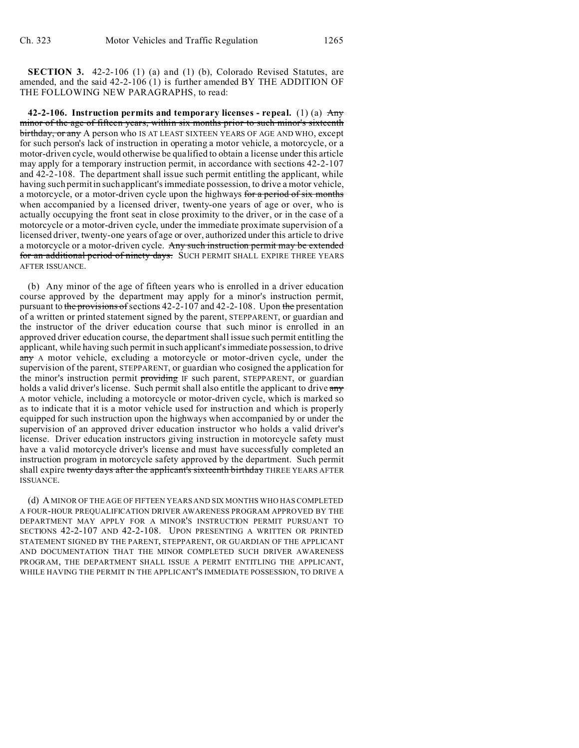**SECTION 3.** 42-2-106 (1) (a) and (1) (b), Colorado Revised Statutes, are amended, and the said 42-2-106 (1) is further amended BY THE ADDITION OF THE FOLLOWING NEW PARAGRAPHS, to read:

**42-2-106. Instruction permits and temporary licenses - repeal.** (1) (a) Any minor of the age of fifteen years, within six months prior to such minor's sixteenth birthday, or any A person who IS AT LEAST SIXTEEN YEARS OF AGE AND WHO, except for such person's lack of instruction in operating a motor vehicle, a motorcycle, or a motor-driven cycle, would otherwise be qualified to obtain a license under this article may apply for a temporary instruction permit, in accordance with sections 42-2-107 and 42-2-108. The department shall issue such permit entitling the applicant, while having such permit in such applicant's immediate possession, to drive a motor vehicle, a motorcycle, or a motor-driven cycle upon the highways for a period of six months when accompanied by a licensed driver, twenty-one years of age or over, who is actually occupying the front seat in close proximity to the driver, or in the case of a motorcycle or a motor-driven cycle, under the immediate proximate supervision of a licensed driver, twenty-one years of age or over, authorized under this article to drive a motorcycle or a motor-driven cycle. Any such instruction permit may be extended for an additional period of ninety days. SUCH PERMIT SHALL EXPIRE THREE YEARS AFTER ISSUANCE.

(b) Any minor of the age of fifteen years who is enrolled in a driver education course approved by the department may apply for a minor's instruction permit, pursuant to the provisions of sections 42-2-107 and 42-2-108. Upon the presentation of a written or printed statement signed by the parent, STEPPARENT, or guardian and the instructor of the driver education course that such minor is enrolled in an approved driver education course, the department shall issue such permit entitling the applicant, while having such permit in such applicant's immediate possession, to drive any A motor vehicle, excluding a motorcycle or motor-driven cycle, under the supervision of the parent, STEPPARENT, or guardian who cosigned the application for the minor's instruction permit **providing** IF such parent, STEPPARENT, or guardian holds a valid driver's license. Such permit shall also entitle the applicant to drive any A motor vehicle, including a motorcycle or motor-driven cycle, which is marked so as to indicate that it is a motor vehicle used for instruction and which is properly equipped for such instruction upon the highways when accompanied by or under the supervision of an approved driver education instructor who holds a valid driver's license. Driver education instructors giving instruction in motorcycle safety must have a valid motorcycle driver's license and must have successfully completed an instruction program in motorcycle safety approved by the department. Such permit shall expire twenty days after the applicant's sixteenth birthday THREE YEARS AFTER ISSUANCE.

(d) A MINOR OF THE AGE OF FIFTEEN YEARS AND SIX MONTHS WHO HAS COMPLETED A FOUR-HOUR PREQUALIFICATION DRIVER AWARENESS PROGRAM APPROVED BY THE DEPARTMENT MAY APPLY FOR A MINOR'S INSTRUCTION PERMIT PURSUANT TO SECTIONS 42-2-107 AND 42-2-108. UPON PRESENTING A WRITTEN OR PRINTED STATEMENT SIGNED BY THE PARENT, STEPPARENT, OR GUARDIAN OF THE APPLICANT AND DOCUMENTATION THAT THE MINOR COMPLETED SUCH DRIVER AWARENESS PROGRAM, THE DEPARTMENT SHALL ISSUE A PERMIT ENTITLING THE APPLICANT, WHILE HAVING THE PERMIT IN THE APPLICANT'S IMMEDIATE POSSESSION, TO DRIVE A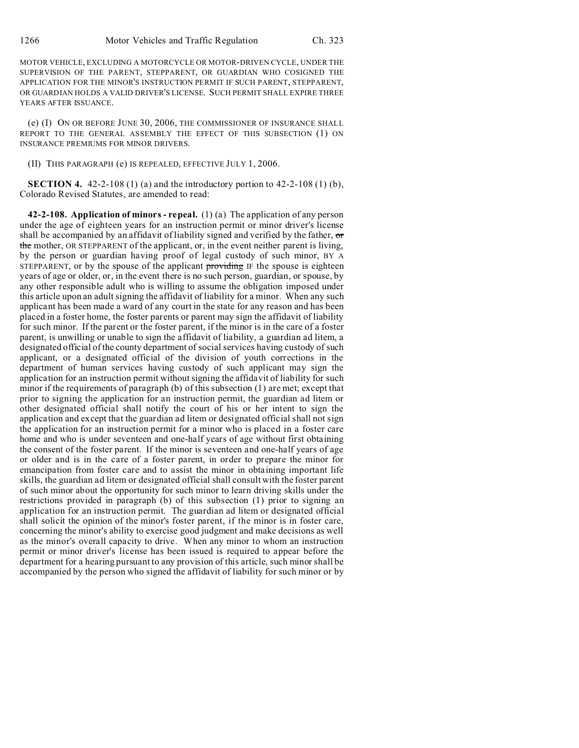MOTOR VEHICLE, EXCLUDING A MOTORCYCLE OR MOTOR-DRIVEN CYCLE, UNDER THE SUPERVISION OF THE PARENT, STEPPARENT, OR GUARDIAN WHO COSIGNED THE APPLICATION FOR THE MINOR'S INSTRUCTION PERMIT IF SUCH PARENT, STEPPARENT, OR GUARDIAN HOLDS A VALID DRIVER'S LICENSE. SUCH PERMIT SHALL EXPIRE THREE YEARS AFTER ISSUANCE.

(e) (I) ON OR BEFORE JUNE 30, 2006, THE COMMISSIONER OF INSURANCE SHALL REPORT TO THE GENERAL ASSEMBLY THE EFFECT OF THIS SUBSECTION (1) ON INSURANCE PREMIUMS FOR MINOR DRIVERS.

(II) THIS PARAGRAPH (e) IS REPEALED, EFFECTIVE JULY 1, 2006.

**SECTION 4.** 42-2-108 (1) (a) and the introductory portion to 42-2-108 (1) (b), Colorado Revised Statutes, are amended to read:

**42-2-108. Application of minors - repeal.** (1) (a) The application of any person under the age of eighteen years for an instruction permit or minor driver's license shall be accompanied by an affidavit of liability signed and verified by the father,  $\sigma$ the mother, OR STEPPARENT of the applicant, or, in the event neither parent is living, by the person or guardian having proof of legal custody of such minor, BY A STEPPARENT, or by the spouse of the applicant providing IF the spouse is eighteen years of age or older, or, in the event there is no such person, guardian, or spouse, by any other responsible adult who is willing to assume the obligation imposed under this article upon an adult signing the affidavit of liability for a minor. When any such applicant has been made a ward of any court in the state for any reason and has been placed in a foster home, the foster parents or parent may sign the affidavit of liability for such minor. If the parent or the foster parent, if the minor is in the care of a foster parent, is unwilling or unable to sign the affidavit of liability, a guardian ad litem, a designated official of the county department of social services having custody of such applicant, or a designated official of the division of youth corrections in the department of human services having custody of such applicant may sign the application for an instruction permit without signing the affidavit of liability for such minor if the requirements of paragraph (b) of this subsection (1) are met; except that prior to signing the application for an instruction permit, the guardian ad litem or other designated official shall notify the court of his or her intent to sign the application and except that the guardian ad litem or designated official shall not sign the application for an instruction permit for a minor who is placed in a foster care home and who is under seventeen and one-half years of age without first obtaining the consent of the foster parent. If the minor is seventeen and one-half years of age or older and is in the care of a foster parent, in order to prepare the minor for emancipation from foster care and to assist the minor in obtaining important life skills, the guardian ad litem or designated official shall consult with the foster parent of such minor about the opportunity for such minor to learn driving skills under the restrictions provided in paragraph (b) of this subsection (1) prior to signing an application for an instruction permit. The guardian ad litem or designated official shall solicit the opinion of the minor's foster parent, if the minor is in foster care, concerning the minor's ability to exercise good judgment and make decisions as well as the minor's overall capacity to drive. When any minor to whom an instruction permit or minor driver's license has been issued is required to appear before the department for a hearing pursuant to any provision of this article, such minor shall be accompanied by the person who signed the affidavit of liability for such minor or by